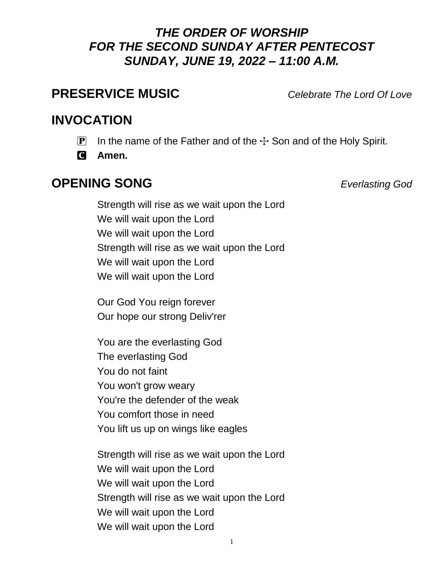#### *THE ORDER OF WORSHIP FOR THE SECOND SUNDAY AFTER PENTECOST SUNDAY, JUNE 19, 2022 – 11:00 A.M.*

#### **PRESERVICE MUSIC** *Celebrate The Lord Of Love*

### **INVOCATION**

- **P** In the name of the Father and of the  $\div$  Son and of the Holy Spirit.
- C **Amen.**

# **OPENING SONG** *Everlasting God*

Strength will rise as we wait upon the Lord We will wait upon the Lord We will wait upon the Lord Strength will rise as we wait upon the Lord We will wait upon the Lord We will wait upon the Lord

Our God You reign forever Our hope our strong Deliv'rer

You are the everlasting God The everlasting God You do not faint You won't grow weary You're the defender of the weak You comfort those in need You lift us up on wings like eagles

Strength will rise as we wait upon the Lord We will wait upon the Lord We will wait upon the Lord Strength will rise as we wait upon the Lord We will wait upon the Lord We will wait upon the Lord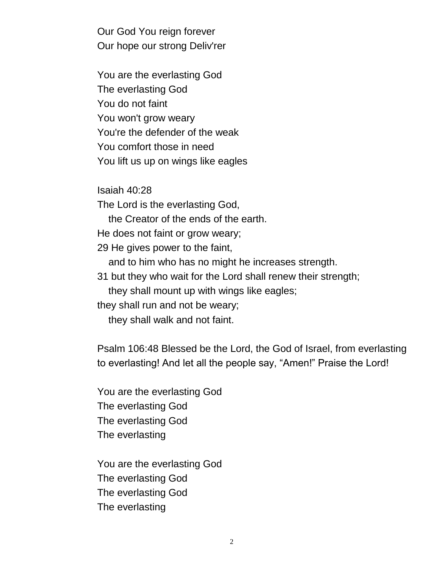Our God You reign forever Our hope our strong Deliv'rer

You are the everlasting God The everlasting God You do not faint You won't grow weary You're the defender of the weak You comfort those in need You lift us up on wings like eagles

Isaiah 40:28

The Lord is the everlasting God,

the Creator of the ends of the earth.

He does not faint or grow weary;

29 He gives power to the faint,

and to him who has no might he increases strength.

31 but they who wait for the Lord shall renew their strength;

they shall mount up with wings like eagles;

they shall run and not be weary;

they shall walk and not faint.

Psalm 106:48 Blessed be the Lord, the God of Israel, from everlasting to everlasting! And let all the people say, "Amen!" Praise the Lord!

You are the everlasting God The everlasting God The everlasting God The everlasting

You are the everlasting God The everlasting God The everlasting God The everlasting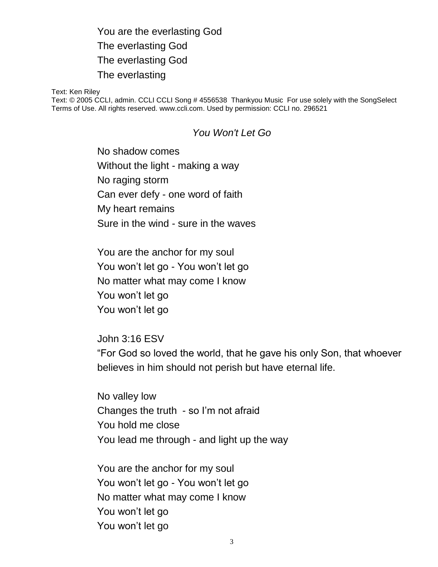You are the everlasting God The everlasting God The everlasting God The everlasting

Text: Ken Riley

Text: © 2005 CCLI, admin. CCLI CCLI Song # 4556538 Thankyou Music For use solely with the SongSelect Terms of Use. All rights reserved. www.ccli.com. Used by permission: CCLI no. 296521

#### *You Won't Let Go*

No shadow comes Without the light - making a way No raging storm Can ever defy - one word of faith My heart remains Sure in the wind - sure in the waves

You are the anchor for my soul You won't let go - You won't let go No matter what may come I know You won't let go You won't let go

John 3:16 ESV "For God so loved the world, that he gave his only Son, that whoever believes in him should not perish but have eternal life.

No valley low Changes the truth - so I'm not afraid You hold me close You lead me through - and light up the way

You are the anchor for my soul You won't let go - You won't let go No matter what may come I know You won't let go You won't let go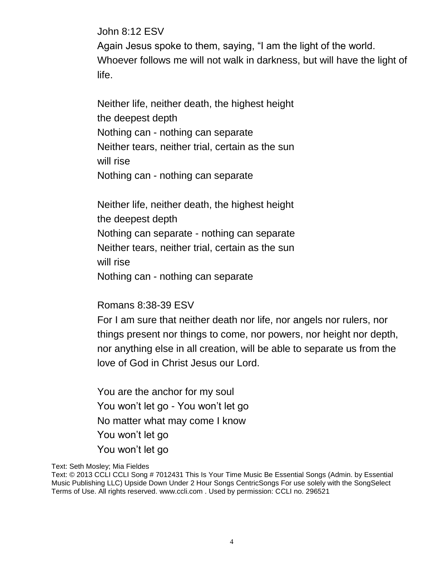John 8:12 ESV

Again Jesus spoke to them, saying, "I am the light of the world. Whoever follows me will not walk in darkness, but will have the light of life.

Neither life, neither death, the highest height the deepest depth Nothing can - nothing can separate Neither tears, neither trial, certain as the sun will rise Nothing can - nothing can separate

Neither life, neither death, the highest height the deepest depth Nothing can separate - nothing can separate Neither tears, neither trial, certain as the sun will rise Nothing can - nothing can separate

Romans 8:38-39 ESV

For I am sure that neither death nor life, nor angels nor rulers, nor things present nor things to come, nor powers, nor height nor depth, nor anything else in all creation, will be able to separate us from the love of God in Christ Jesus our Lord.

You are the anchor for my soul You won't let go - You won't let go No matter what may come I know You won't let go You won't let go

Text: Seth Mosley; Mia Fieldes

Text: © 2013 CCLI CCLI Song # 7012431 This Is Your Time Music Be Essential Songs (Admin. by Essential Music Publishing LLC) Upside Down Under 2 Hour Songs CentricSongs For use solely with the SongSelect Terms of Use. All rights reserved. www.ccli.com . Used by permission: CCLI no. 296521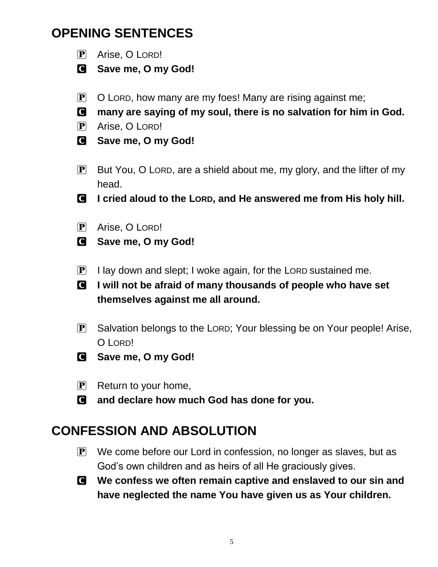### **OPENING SENTENCES**

- P Arise, O LORD!
- C **Save me, O my God!**
- $\mathbf{P}$  O LORD, how many are my foes! Many are rising against me;
- C **many are saying of my soul, there is no salvation for him in God.**
- P Arise, O LORD!
- C **Save me, O my God!**
- $\mathbf{P}$  But You, O LORD, are a shield about me, my glory, and the lifter of my head.
- C **I cried aloud to the LORD, and He answered me from His holy hill.**
- P Arise, O LORD!
- C **Save me, O my God!**
- $\mathbf{P}$  I lay down and slept; I woke again, for the LORD sustained me.
- C **I will not be afraid of many thousands of people who have set themselves against me all around.**
- $\mathbf{P}$  Salvation belongs to the LORD; Your blessing be on Your people! Arise, O LORD!
- C **Save me, O my God!**
- $\left| \mathbf{P} \right|$  Return to your home,
- C **and declare how much God has done for you.**

### **CONFESSION AND ABSOLUTION**

- $\mathbf{P}$  We come before our Lord in confession, no longer as slaves, but as God's own children and as heirs of all He graciously gives.
- C **We confess we often remain captive and enslaved to our sin and have neglected the name You have given us as Your children.**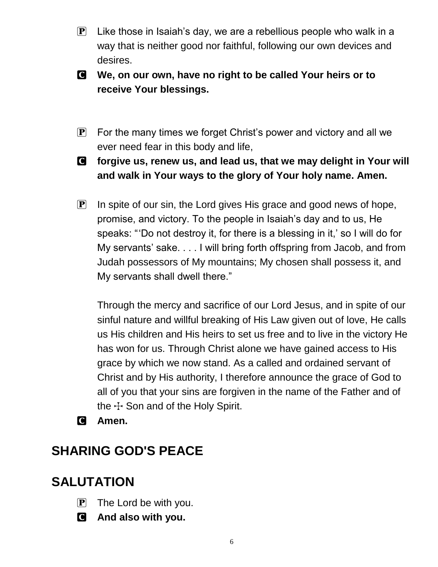- $\mathbf{P}$  Like those in Isaiah's day, we are a rebellious people who walk in a way that is neither good nor faithful, following our own devices and desires.
- C **We, on our own, have no right to be called Your heirs or to receive Your blessings.**
- $\mathbf{P}$  For the many times we forget Christ's power and victory and all we ever need fear in this body and life,
- C **forgive us, renew us, and lead us, that we may delight in Your will and walk in Your ways to the glory of Your holy name. Amen.**
- $\mathbf{P}$  In spite of our sin, the Lord gives His grace and good news of hope, promise, and victory. To the people in Isaiah's day and to us, He speaks: " 'Do not destroy it, for there is a blessing in it,' so I will do for My servants' sake. . . . I will bring forth offspring from Jacob, and from Judah possessors of My mountains; My chosen shall possess it, and My servants shall dwell there."

Through the mercy and sacrifice of our Lord Jesus, and in spite of our sinful nature and willful breaking of His Law given out of love, He calls us His children and His heirs to set us free and to live in the victory He has won for us. Through Christ alone we have gained access to His grace by which we now stand. As a called and ordained servant of Christ and by His authority, I therefore announce the grace of God to all of you that your sins are forgiven in the name of the Father and of the  $\pm$  Son and of the Holy Spirit.

C **Amen.**

# **SHARING GOD'S PEACE**

# **SALUTATION**

- $\left[ \mathbf{P} \right]$  The Lord be with you.
- C **And also with you.**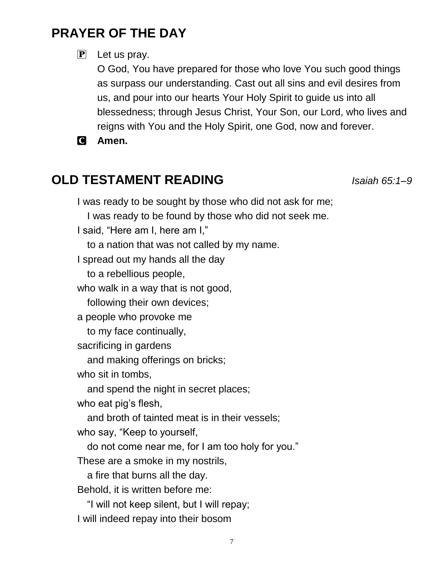### **PRAYER OF THE DAY**

#### $\left[ \mathbf{P} \right]$  Let us pray.

O God, You have prepared for those who love You such good things as surpass our understanding. Cast out all sins and evil desires from us, and pour into our hearts Your Holy Spirit to guide us into all blessedness; through Jesus Christ, Your Son, our Lord, who lives and reigns with You and the Holy Spirit, one God, now and forever.

C **Amen.**

# **OLD TESTAMENT READING** *Isaiah 65:1–9*

I was ready to be sought by those who did not ask for me; I was ready to be found by those who did not seek me. I said, "Here am I, here am I," to a nation that was not called by my name. I spread out my hands all the day to a rebellious people, who walk in a way that is not good, following their own devices; a people who provoke me to my face continually, sacrificing in gardens and making offerings on bricks; who sit in tombs, and spend the night in secret places; who eat pig's flesh, and broth of tainted meat is in their vessels; who say, "Keep to yourself, do not come near me, for I am too holy for you." These are a smoke in my nostrils, a fire that burns all the day. Behold, it is written before me: "I will not keep silent, but I will repay; I will indeed repay into their bosom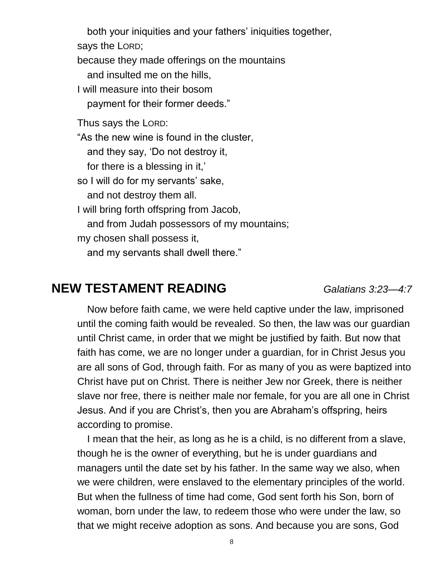both your iniquities and your fathers' iniquities together, says the LORD; because they made offerings on the mountains and insulted me on the hills, I will measure into their bosom payment for their former deeds." Thus says the LORD: "As the new wine is found in the cluster, and they say, 'Do not destroy it, for there is a blessing in it,' so I will do for my servants' sake, and not destroy them all. I will bring forth offspring from Jacob, and from Judah possessors of my mountains; my chosen shall possess it, and my servants shall dwell there."

#### **NEW TESTAMENT READING** *Galatians 3:23—4:7*

Now before faith came, we were held captive under the law, imprisoned until the coming faith would be revealed. So then, the law was our guardian until Christ came, in order that we might be justified by faith. But now that faith has come, we are no longer under a guardian, for in Christ Jesus you are all sons of God, through faith. For as many of you as were baptized into Christ have put on Christ. There is neither Jew nor Greek, there is neither slave nor free, there is neither male nor female, for you are all one in Christ Jesus. And if you are Christ's, then you are Abraham's offspring, heirs according to promise.

I mean that the heir, as long as he is a child, is no different from a slave, though he is the owner of everything, but he is under guardians and managers until the date set by his father. In the same way we also, when we were children, were enslaved to the elementary principles of the world. But when the fullness of time had come, God sent forth his Son, born of woman, born under the law, to redeem those who were under the law, so that we might receive adoption as sons. And because you are sons, God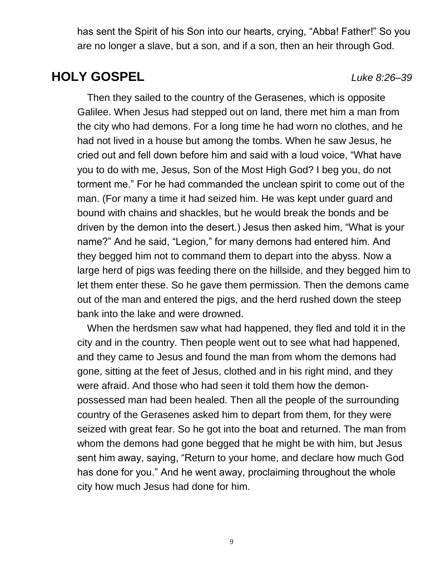has sent the Spirit of his Son into our hearts, crying, "Abba! Father!" So you are no longer a slave, but a son, and if a son, then an heir through God.

#### **HOLY GOSPEL** *Luke 8:26–39*

Then they sailed to the country of the Gerasenes, which is opposite Galilee. When Jesus had stepped out on land, there met him a man from the city who had demons. For a long time he had worn no clothes, and he had not lived in a house but among the tombs. When he saw Jesus, he cried out and fell down before him and said with a loud voice, "What have you to do with me, Jesus, Son of the Most High God? I beg you, do not torment me." For he had commanded the unclean spirit to come out of the man. (For many a time it had seized him. He was kept under guard and bound with chains and shackles, but he would break the bonds and be driven by the demon into the desert.) Jesus then asked him, "What is your name?" And he said, "Legion," for many demons had entered him. And they begged him not to command them to depart into the abyss. Now a large herd of pigs was feeding there on the hillside, and they begged him to let them enter these. So he gave them permission. Then the demons came out of the man and entered the pigs, and the herd rushed down the steep bank into the lake and were drowned.

When the herdsmen saw what had happened, they fled and told it in the city and in the country. Then people went out to see what had happened, and they came to Jesus and found the man from whom the demons had gone, sitting at the feet of Jesus, clothed and in his right mind, and they were afraid. And those who had seen it told them how the demonpossessed man had been healed. Then all the people of the surrounding country of the Gerasenes asked him to depart from them, for they were seized with great fear. So he got into the boat and returned. The man from whom the demons had gone begged that he might be with him, but Jesus sent him away, saying, "Return to your home, and declare how much God has done for you." And he went away, proclaiming throughout the whole city how much Jesus had done for him.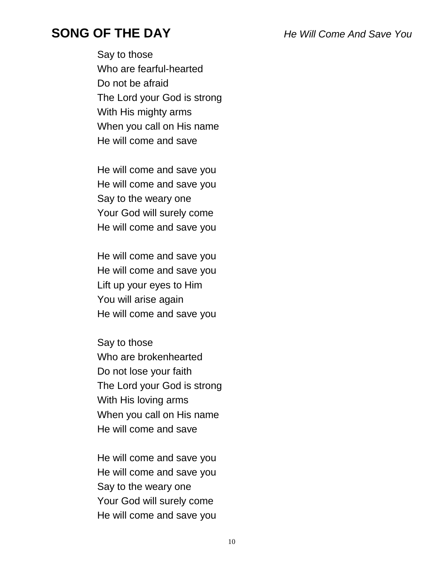#### **SONG OF THE DAY** *He Will Come And Save You*

Say to those Who are fearful-hearted Do not be afraid The Lord your God is strong With His mighty arms When you call on His name He will come and save

He will come and save you He will come and save you Say to the weary one Your God will surely come He will come and save you

He will come and save you He will come and save you Lift up your eyes to Him You will arise again He will come and save you

Say to those Who are brokenhearted Do not lose your faith The Lord your God is strong With His loving arms When you call on His name He will come and save

He will come and save you He will come and save you Say to the weary one Your God will surely come He will come and save you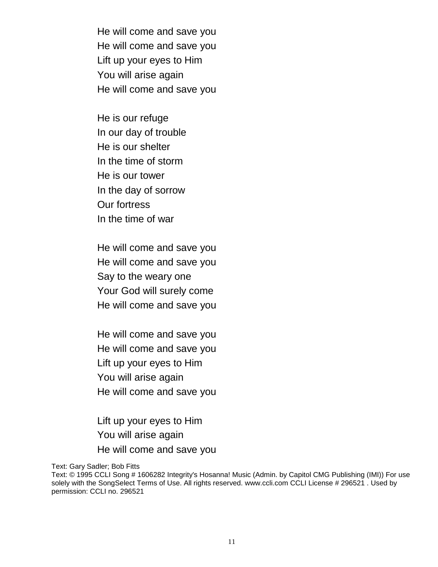He will come and save you He will come and save you Lift up your eyes to Him You will arise again He will come and save you

He is our refuge In our day of trouble He is our shelter In the time of storm He is our tower In the day of sorrow Our fortress In the time of war

He will come and save you He will come and save you Say to the weary one Your God will surely come He will come and save you

He will come and save you He will come and save you Lift up your eyes to Him You will arise again He will come and save you

Lift up your eyes to Him You will arise again He will come and save you

Text: Gary Sadler; Bob Fitts

Text: © 1995 CCLI Song # 1606282 Integrity's Hosanna! Music (Admin. by Capitol CMG Publishing (IMI)) For use solely with the SongSelect Terms of Use. All rights reserved. www.ccli.com CCLI License # 296521. Used by permission: CCLI no. 296521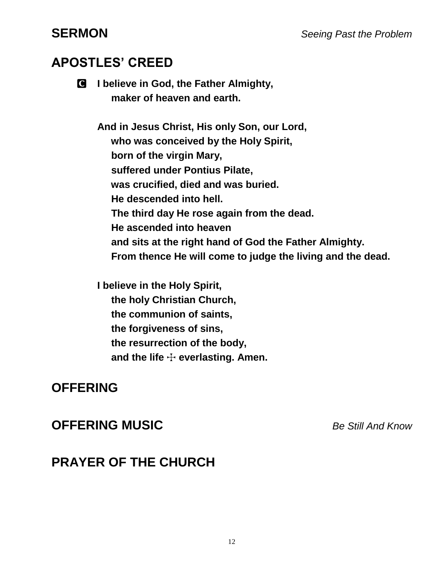# **APOSTLES' CREED**

#### C **I believe in God, the Father Almighty, maker of heaven and earth.**

**And in Jesus Christ, His only Son, our Lord, who was conceived by the Holy Spirit, born of the virgin Mary, suffered under Pontius Pilate, was crucified, died and was buried. He descended into hell. The third day He rose again from the dead. He ascended into heaven and sits at the right hand of God the Father Almighty. From thence He will come to judge the living and the dead.**

**I believe in the Holy Spirit, the holy Christian Church, the communion of saints, the forgiveness of sins, the resurrection of the body,** and the life  $\div$  everlasting. Amen.

### **OFFERING**

#### **OFFERING MUSIC** *Be Still And Know*

### **PRAYER OF THE CHURCH**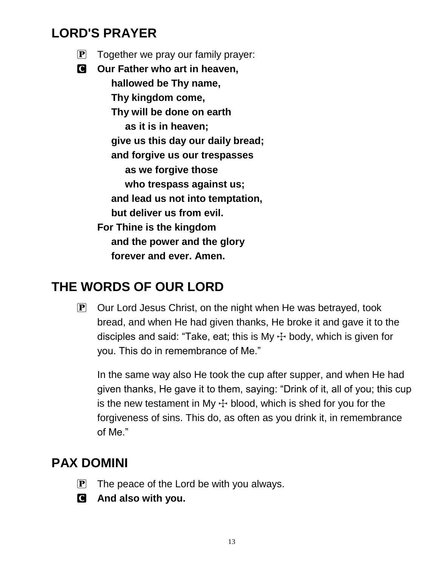## **LORD'S PRAYER**

- $\left[ \mathbf{P} \right]$  Together we pray our family prayer:
- C **Our Father who art in heaven, hallowed be Thy name, Thy kingdom come, Thy will be done on earth as it is in heaven; give us this day our daily bread; and forgive us our trespasses as we forgive those who trespass against us; and lead us not into temptation, but deliver us from evil. For Thine is the kingdom and the power and the glory forever and ever. Amen.**

#### **THE WORDS OF OUR LORD**

 $\mathbf{P}$  Our Lord Jesus Christ, on the night when He was betrayed, took bread, and when He had given thanks, He broke it and gave it to the disciples and said: "Take, eat; this is My  $\pm$  body, which is given for you. This do in remembrance of Me."

In the same way also He took the cup after supper, and when He had given thanks, He gave it to them, saying: "Drink of it, all of you; this cup is the new testament in My  $\pm$  blood, which is shed for you for the forgiveness of sins. This do, as often as you drink it, in remembrance of Me."

### **PAX DOMINI**

- $\mathbf{P}$  The peace of the Lord be with you always.
- C **And also with you.**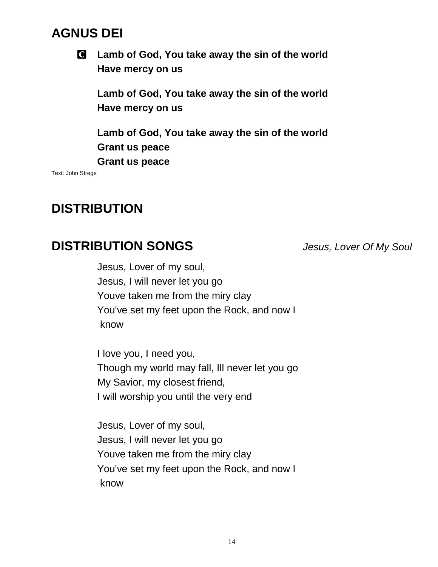### **AGNUS DEI**

C **Lamb of God, You take away the sin of the world Have mercy on us**

**Lamb of God, You take away the sin of the world Have mercy on us**

**Lamb of God, You take away the sin of the world Grant us peace Grant us peace**

Text: John Strege

# **DISTRIBUTION**

### **DISTRIBUTION SONGS** *Jesus, Lover Of My Soul*

Jesus, Lover of my soul, Jesus, I will never let you go Youve taken me from the miry clay You've set my feet upon the Rock, and now I know

I love you, I need you, Though my world may fall, Ill never let you go My Savior, my closest friend, I will worship you until the very end

Jesus, Lover of my soul, Jesus, I will never let you go Youve taken me from the miry clay You've set my feet upon the Rock, and now I know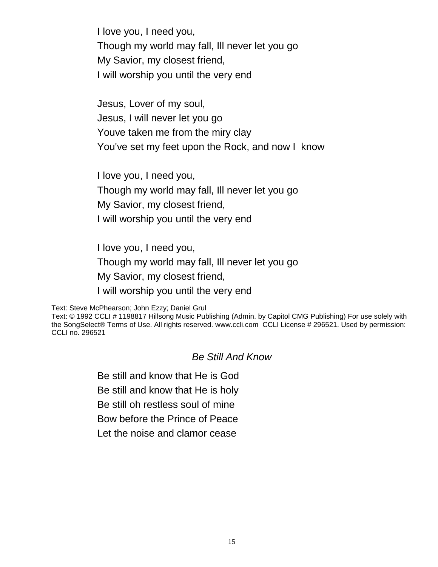I love you, I need you, Though my world may fall, Ill never let you go My Savior, my closest friend, I will worship you until the very end

Jesus, Lover of my soul, Jesus, I will never let you go Youve taken me from the miry clay You've set my feet upon the Rock, and now I know

I love you, I need you, Though my world may fall, Ill never let you go My Savior, my closest friend, I will worship you until the very end

I love you, I need you, Though my world may fall, Ill never let you go My Savior, my closest friend, I will worship you until the very end

Text: Steve McPhearson; John Ezzy; Daniel Grul

Text: © 1992 CCLI # 1198817 Hillsong Music Publishing (Admin. by Capitol CMG Publishing) For use solely with the SongSelect® Terms of Use. All rights reserved. www.ccli.com CCLI License # 296521. Used by permission: CCLI no. 296521

#### *Be Still And Know*

Be still and know that He is God Be still and know that He is holy Be still oh restless soul of mine Bow before the Prince of Peace Let the noise and clamor cease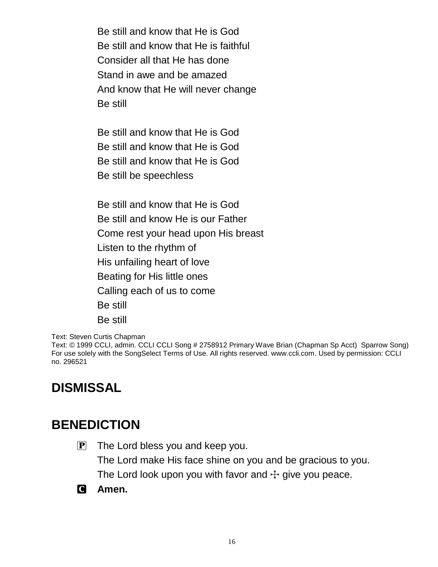Be still and know that He is God Be still and know that He is faithful Consider all that He has done Stand in awe and be amazed And know that He will never change Be still

Be still and know that He is God Be still and know that He is God Be still and know that He is God Be still be speechless

Be still and know that He is God Be still and know He is our Father Come rest your head upon His breast Listen to the rhythm of His unfailing heart of love Beating for His little ones Calling each of us to come Be still Be still

Text: Steven Curtis Chapman

Text: © 1999 CCLI, admin. CCLI CCLI Song # 2758912 Primary Wave Brian (Chapman Sp Acct) Sparrow Song) For use solely with the SongSelect Terms of Use. All rights reserved. www.ccli.com. Used by permission: CCLI no. 296521

### **DISMISSAL**

### **BENEDICTION**

- $\mathbf{P}$  The Lord bless you and keep you. The Lord make His face shine on you and be gracious to you. The Lord look upon you with favor and  $\pm$  give you peace.
- C **Amen.**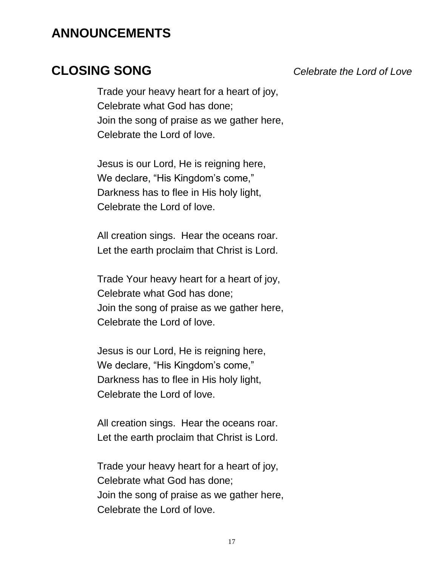#### **ANNOUNCEMENTS**

#### **CLOSING SONG** *Celebrate the Lord of Love*

Trade your heavy heart for a heart of joy, Celebrate what God has done; Join the song of praise as we gather here, Celebrate the Lord of love.

Jesus is our Lord, He is reigning here, We declare, "His Kingdom's come," Darkness has to flee in His holy light, Celebrate the Lord of love.

All creation sings. Hear the oceans roar. Let the earth proclaim that Christ is Lord.

Trade Your heavy heart for a heart of joy, Celebrate what God has done; Join the song of praise as we gather here, Celebrate the Lord of love.

Jesus is our Lord, He is reigning here, We declare, "His Kingdom's come," Darkness has to flee in His holy light, Celebrate the Lord of love.

All creation sings. Hear the oceans roar. Let the earth proclaim that Christ is Lord.

Trade your heavy heart for a heart of joy, Celebrate what God has done; Join the song of praise as we gather here, Celebrate the Lord of love.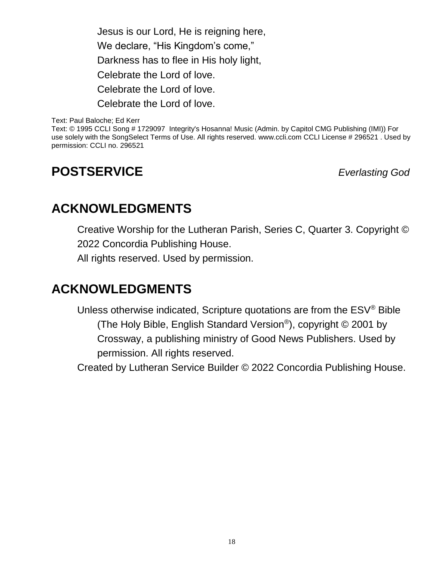Jesus is our Lord, He is reigning here,

We declare, "His Kingdom's come,"

Darkness has to flee in His holy light,

Celebrate the Lord of love.

Celebrate the Lord of love.

Celebrate the Lord of love.

Text: Paul Baloche; Ed Kerr

Text: © 1995 CCLI Song # 1729097 Integrity's Hosanna! Music (Admin. by Capitol CMG Publishing (IMI)) For use solely with the SongSelect Terms of Use. All rights reserved. www.ccli.com CCLI License # 296521 . Used by permission: CCLI no. 296521

# **POSTSERVICE** *Everlasting God*

# **ACKNOWLEDGMENTS**

Creative Worship for the Lutheran Parish, Series C, Quarter 3. Copyright © 2022 Concordia Publishing House.

All rights reserved. Used by permission.

### **ACKNOWLEDGMENTS**

Unless otherwise indicated, Scripture quotations are from the ESV® Bible (The Holy Bible, English Standard Version® ), copyright © 2001 by Crossway, a publishing ministry of Good News Publishers. Used by permission. All rights reserved.

Created by Lutheran Service Builder © 2022 Concordia Publishing House.